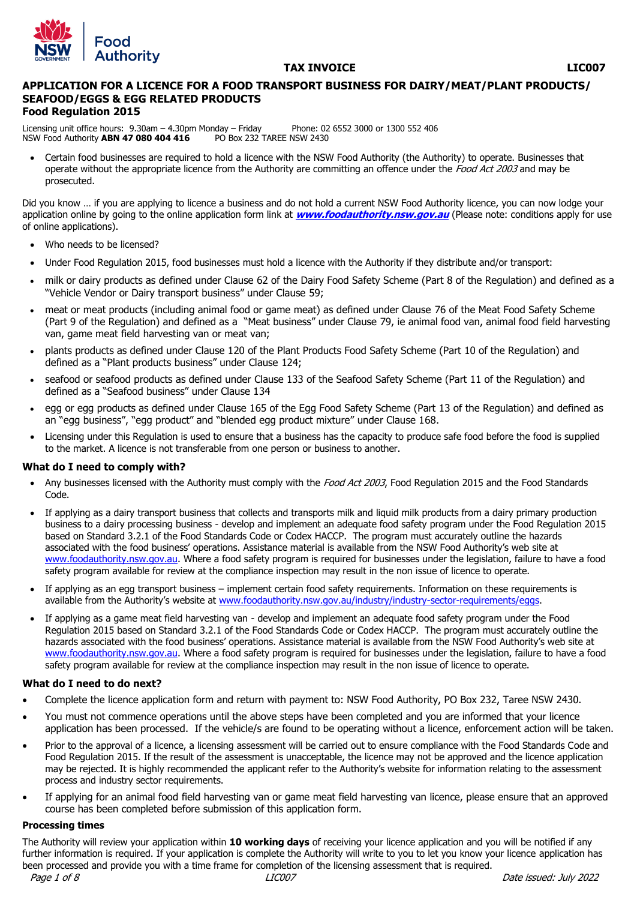

### **TAX INVOICE LIC007**

#### **APPLICATION FOR A LICENCE FOR A FOOD TRANSPORT BUSINESS FOR DAIRY/MEAT/PLANT PRODUCTS/ SEAFOOD/EGGS & EGG RELATED PRODUCTS Food Regulation 2015**

Licensing unit office hours: 9.30am – 4.30pm Monday – Friday Phone: 02 6552 3000 or 1300 552 406<br>NSW Food Authority **ABN 47 080 404 416** PO Box 232 TAREE NSW 2430 NSW Food Authority **ABN 47 080 404 416** 

 Certain food businesses are required to hold a licence with the NSW Food Authority (the Authority) to operate. Businesses that operate without the appropriate licence from the Authority are committing an offence under the Food Act 2003 and may be prosecuted.

Did you know … if you are applying to licence a business and do not hold a current NSW Food Authority licence, you can now lodge your application online by going to the online application form link at **[www.foodauthority.nsw.gov.au](http://www.foodauthority.nsw.gov.au/)** (Please note: conditions apply for use of online applications).

- Who needs to be licensed?
- Under Food Regulation 2015, food businesses must hold a licence with the Authority if they distribute and/or transport:
- milk or dairy products as defined under Clause 62 of the Dairy Food Safety Scheme (Part 8 of the Regulation) and defined as a "Vehicle Vendor or Dairy transport business" under Clause 59;
- meat or meat products (including animal food or game meat) as defined under Clause 76 of the Meat Food Safety Scheme (Part 9 of the Regulation) and defined as a "Meat business" under Clause 79, ie animal food van, animal food field harvesting van, game meat field harvesting van or meat van;
- plants products as defined under Clause 120 of the Plant Products Food Safety Scheme (Part 10 of the Regulation) and defined as a "Plant products business" under Clause 124;
- seafood or seafood products as defined under Clause 133 of the Seafood Safety Scheme (Part 11 of the Regulation) and defined as a "Seafood business" under Clause 134
- egg or egg products as defined under Clause 165 of the Egg Food Safety Scheme (Part 13 of the Regulation) and defined as an "egg business", "egg product" and "blended egg product mixture" under Clause 168.
- Licensing under this Regulation is used to ensure that a business has the capacity to produce safe food before the food is supplied to the market. A licence is not transferable from one person or business to another.

#### **What do I need to comply with?**

- Any businesses licensed with the Authority must comply with the Food Act 2003, Food Regulation 2015 and the Food Standards Code.
- If applying as a dairy transport business that collects and transports milk and liquid milk products from a dairy primary production business to a dairy processing business - develop and implement an adequate food safety program under the Food Regulation 2015 based on Standard 3.2.1 of the Food Standards Code or Codex HACCP. The program must accurately outline the hazards associated with the food business' operations. Assistance material is available from the NSW Food Authority's web site at [www.foodauthority.nsw.gov.au.](http://www.foodauthority.nsw.gov.au/) Where a food safety program is required for businesses under the legislation, failure to have a food safety program available for review at the compliance inspection may result in the non issue of licence to operate.
- If applying as an egg transport business implement certain food safety requirements. Information on these requirements is available from the Authority's website at [www.foodauthority.nsw.gov.au/industry/industry-sector-requirements/eggs.](http://www.foodauthority.nsw.gov.au/industry/industry-sector-requirements/eggs)
- If applying as a game meat field harvesting van develop and implement an adequate food safety program under the Food Regulation 2015 based on Standard 3.2.1 of the Food Standards Code or Codex HACCP. The program must accurately outline the hazards associated with the food business' operations. Assistance material is available from the NSW Food Authority's web site at [www.foodauthority.nsw.gov.au.](http://www.foodauthority.nsw.gov.au/) Where a food safety program is required for businesses under the legislation, failure to have a food safety program available for review at the compliance inspection may result in the non issue of licence to operate.

#### **What do I need to do next?**

- Complete the licence application form and return with payment to: NSW Food Authority, PO Box 232, Taree NSW 2430.
- You must not commence operations until the above steps have been completed and you are informed that your licence application has been processed. If the vehicle/s are found to be operating without a licence, enforcement action will be taken.
- Prior to the approval of a licence, a licensing assessment will be carried out to ensure compliance with the Food Standards Code and Food Regulation 2015. If the result of the assessment is unacceptable, the licence may not be approved and the licence application may be rejected. It is highly recommended the applicant refer to the Authority's website for information relating to the assessment process and industry sector requirements.
- If applying for an animal food field harvesting van or game meat field harvesting van licence, please ensure that an approved course has been completed before submission of this application form.

#### **Processing times**

The Authority will review your application within **10 working days** of receiving your licence application and you will be notified if any further information is required. If your application is complete the Authority will write to you to let you know your licence application has been processed and provide you with a time frame for completion of the licensing assessment that is required.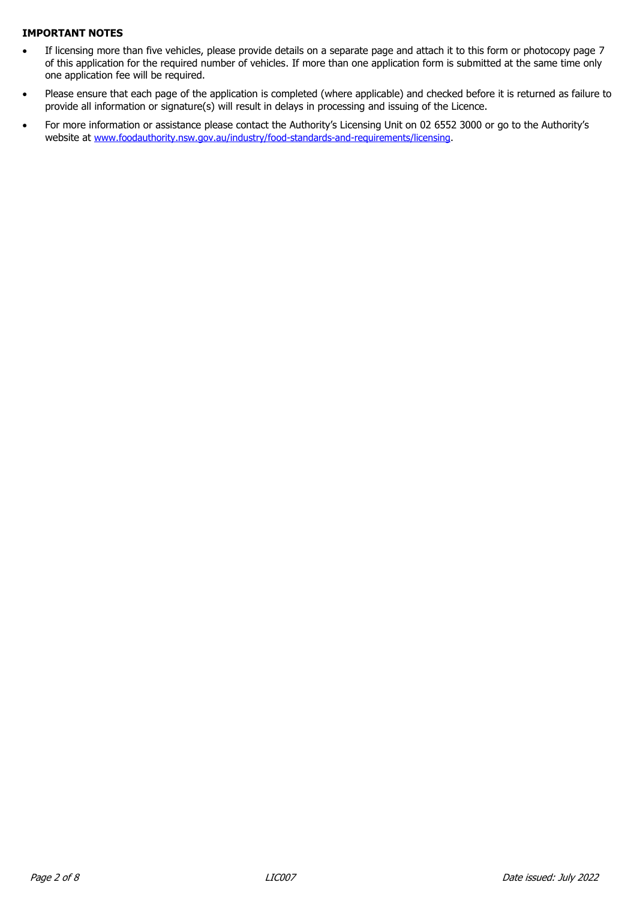### **IMPORTANT NOTES**

- If licensing more than five vehicles, please provide details on a separate page and attach it to this form or photocopy page 7 of this application for the required number of vehicles. If more than one application form is submitted at the same time only one application fee will be required.
- Please ensure that each page of the application is completed (where applicable) and checked before it is returned as failure to provide all information or signature(s) will result in delays in processing and issuing of the Licence.
- For more information or assistance please contact the Authority's Licensing Unit on 02 6552 3000 or go to the Authority's website at [www.foodauthority.nsw.gov.au/industry/food-standards-and-requirements/licensing.](http://www.foodauthority.nsw.gov.au/industry/food-standards-and-requirements/licensing)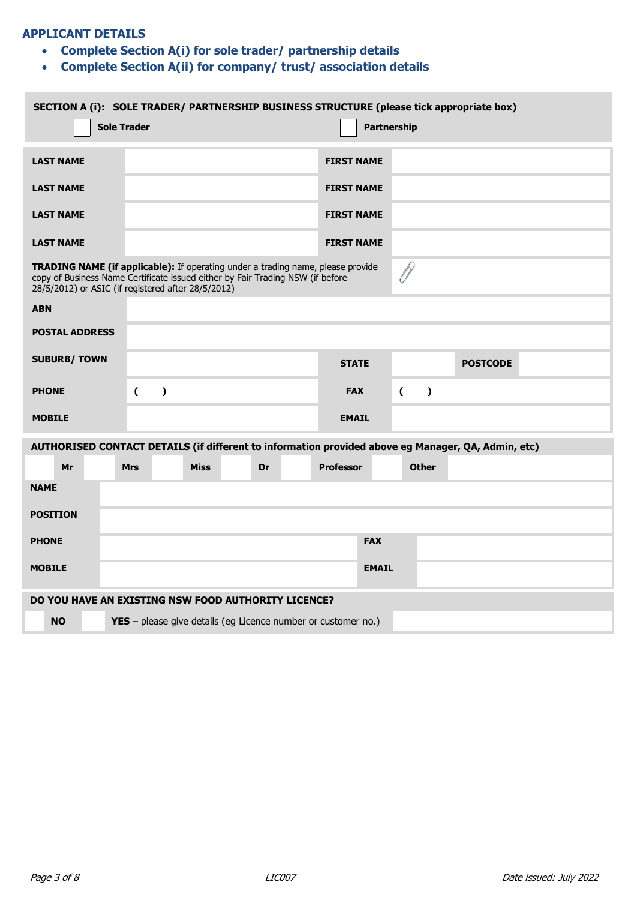## **APPLICANT DETAILS**

- **Complete Section A(i) for sole trader/ partnership details**
- **Complete Section A(ii) for company/ trust/ association details**

| SECTION A (i): SOLE TRADER/ PARTNERSHIP BUSINESS STRUCTURE (please tick appropriate box)<br><b>Sole Trader</b><br>Partnership |                                                                                                                                                                                                                                |                |           |             |  |    |  |                                                                      |              |                  |           |                 |  |  |
|-------------------------------------------------------------------------------------------------------------------------------|--------------------------------------------------------------------------------------------------------------------------------------------------------------------------------------------------------------------------------|----------------|-----------|-------------|--|----|--|----------------------------------------------------------------------|--------------|------------------|-----------|-----------------|--|--|
|                                                                                                                               | <b>LAST NAME</b>                                                                                                                                                                                                               |                |           |             |  |    |  | <b>FIRST NAME</b>                                                    |              |                  |           |                 |  |  |
|                                                                                                                               | <b>LAST NAME</b>                                                                                                                                                                                                               |                |           |             |  |    |  | <b>FIRST NAME</b>                                                    |              |                  |           |                 |  |  |
|                                                                                                                               | <b>LAST NAME</b>                                                                                                                                                                                                               |                |           |             |  |    |  | <b>FIRST NAME</b>                                                    |              |                  |           |                 |  |  |
|                                                                                                                               | <b>LAST NAME</b>                                                                                                                                                                                                               |                |           |             |  |    |  | <b>FIRST NAME</b>                                                    |              |                  |           |                 |  |  |
|                                                                                                                               | <b>TRADING NAME (if applicable):</b> If operating under a trading name, please provide<br>copy of Business Name Certificate issued either by Fair Trading NSW (if before<br>28/5/2012) or ASIC (if registered after 28/5/2012) |                |           |             |  |    |  |                                                                      |              |                  |           |                 |  |  |
| <b>ABN</b>                                                                                                                    |                                                                                                                                                                                                                                |                |           |             |  |    |  |                                                                      |              |                  |           |                 |  |  |
|                                                                                                                               | <b>POSTAL ADDRESS</b>                                                                                                                                                                                                          |                |           |             |  |    |  |                                                                      |              |                  |           |                 |  |  |
|                                                                                                                               | <b>SUBURB/TOWN</b>                                                                                                                                                                                                             |                |           |             |  |    |  | <b>STATE</b>                                                         |              |                  |           | <b>POSTCODE</b> |  |  |
| <b>PHONE</b>                                                                                                                  |                                                                                                                                                                                                                                | $\overline{C}$ | $\lambda$ |             |  |    |  | <b>FAX</b>                                                           |              | $\overline{(\ }$ | $\lambda$ |                 |  |  |
| <b>MOBILE</b>                                                                                                                 |                                                                                                                                                                                                                                |                |           |             |  |    |  | <b>EMAIL</b>                                                         |              |                  |           |                 |  |  |
|                                                                                                                               | AUTHORISED CONTACT DETAILS (if different to information provided above eg Manager, QA, Admin, etc)                                                                                                                             |                |           |             |  |    |  |                                                                      |              |                  |           |                 |  |  |
|                                                                                                                               | Mr                                                                                                                                                                                                                             | <b>Mrs</b>     |           | <b>Miss</b> |  | Dr |  | <b>Professor</b>                                                     |              | <b>Other</b>     |           |                 |  |  |
| <b>NAME</b>                                                                                                                   |                                                                                                                                                                                                                                |                |           |             |  |    |  |                                                                      |              |                  |           |                 |  |  |
| <b>POSITION</b>                                                                                                               |                                                                                                                                                                                                                                |                |           |             |  |    |  |                                                                      |              |                  |           |                 |  |  |
| <b>PHONE</b>                                                                                                                  |                                                                                                                                                                                                                                |                |           |             |  |    |  |                                                                      | <b>FAX</b>   |                  |           |                 |  |  |
| <b>MOBILE</b>                                                                                                                 |                                                                                                                                                                                                                                |                |           |             |  |    |  |                                                                      | <b>EMAIL</b> |                  |           |                 |  |  |
|                                                                                                                               | DO YOU HAVE AN EXISTING NSW FOOD AUTHORITY LICENCE?                                                                                                                                                                            |                |           |             |  |    |  |                                                                      |              |                  |           |                 |  |  |
|                                                                                                                               | <b>NO</b>                                                                                                                                                                                                                      |                |           |             |  |    |  | <b>YES</b> – please give details (eg Licence number or customer no.) |              |                  |           |                 |  |  |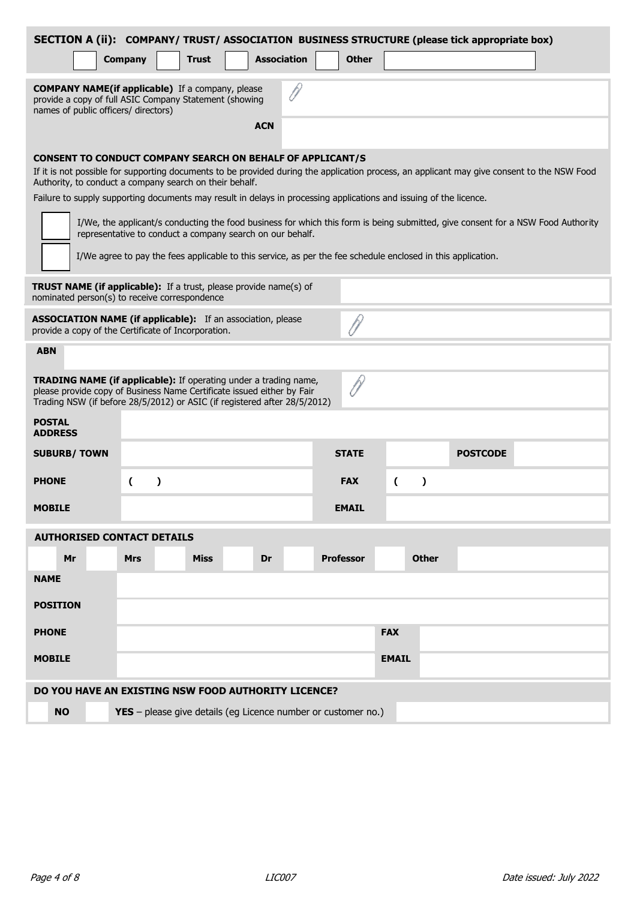|                                                                                                                                                                                                                         | <b>Company</b>                                                                                                                                            | <b>Trust</b> | <b>Association</b>                                        | <b>Other</b>                                                                                                 |                | SECTION A (ii): COMPANY/ TRUST/ ASSOCIATION BUSINESS STRUCTURE (please tick appropriate box)                                                |  |  |
|-------------------------------------------------------------------------------------------------------------------------------------------------------------------------------------------------------------------------|-----------------------------------------------------------------------------------------------------------------------------------------------------------|--------------|-----------------------------------------------------------|--------------------------------------------------------------------------------------------------------------|----------------|---------------------------------------------------------------------------------------------------------------------------------------------|--|--|
|                                                                                                                                                                                                                         |                                                                                                                                                           |              |                                                           |                                                                                                              |                |                                                                                                                                             |  |  |
|                                                                                                                                                                                                                         | <b>COMPANY NAME(if applicable)</b> If a company, please<br>provide a copy of full ASIC Company Statement (showing<br>names of public officers/ directors) |              |                                                           |                                                                                                              |                |                                                                                                                                             |  |  |
|                                                                                                                                                                                                                         |                                                                                                                                                           |              | <b>ACN</b>                                                |                                                                                                              |                |                                                                                                                                             |  |  |
| <b>CONSENT TO CONDUCT COMPANY SEARCH ON BEHALF OF APPLICANT/S</b><br>Authority, to conduct a company search on their behalf.                                                                                            |                                                                                                                                                           |              |                                                           |                                                                                                              |                | If it is not possible for supporting documents to be provided during the application process, an applicant may give consent to the NSW Food |  |  |
| Failure to supply supporting documents may result in delays in processing applications and issuing of the licence.                                                                                                      |                                                                                                                                                           |              |                                                           |                                                                                                              |                |                                                                                                                                             |  |  |
|                                                                                                                                                                                                                         |                                                                                                                                                           |              | representative to conduct a company search on our behalf. |                                                                                                              |                | I/We, the applicant/s conducting the food business for which this form is being submitted, give consent for a NSW Food Authority            |  |  |
|                                                                                                                                                                                                                         |                                                                                                                                                           |              |                                                           | I/We agree to pay the fees applicable to this service, as per the fee schedule enclosed in this application. |                |                                                                                                                                             |  |  |
| <b>TRUST NAME (if applicable):</b> If a trust, please provide name(s) of<br>nominated person(s) to receive correspondence                                                                                               |                                                                                                                                                           |              |                                                           |                                                                                                              |                |                                                                                                                                             |  |  |
|                                                                                                                                                                                                                         | ASSOCIATION NAME (if applicable): If an association, please<br>provide a copy of the Certificate of Incorporation.                                        |              |                                                           |                                                                                                              |                |                                                                                                                                             |  |  |
| <b>ABN</b>                                                                                                                                                                                                              |                                                                                                                                                           |              |                                                           |                                                                                                              |                |                                                                                                                                             |  |  |
| TRADING NAME (if applicable): If operating under a trading name,<br>please provide copy of Business Name Certificate issued either by Fair<br>Trading NSW (if before 28/5/2012) or ASIC (if registered after 28/5/2012) |                                                                                                                                                           |              |                                                           |                                                                                                              |                |                                                                                                                                             |  |  |
| <b>POSTAL</b><br><b>ADDRESS</b>                                                                                                                                                                                         |                                                                                                                                                           |              |                                                           |                                                                                                              |                |                                                                                                                                             |  |  |
| <b>SUBURB/TOWN</b>                                                                                                                                                                                                      |                                                                                                                                                           |              |                                                           | <b>STATE</b>                                                                                                 |                | <b>POSTCODE</b>                                                                                                                             |  |  |
| <b>PHONE</b>                                                                                                                                                                                                            | $\lambda$<br>€                                                                                                                                            |              |                                                           | <b>FAX</b>                                                                                                   | (<br>$\lambda$ |                                                                                                                                             |  |  |
| <b>MOBILE</b>                                                                                                                                                                                                           |                                                                                                                                                           |              |                                                           | <b>EMAIL</b>                                                                                                 |                |                                                                                                                                             |  |  |
| <b>AUTHORISED CONTACT DETAILS</b>                                                                                                                                                                                       |                                                                                                                                                           |              |                                                           |                                                                                                              |                |                                                                                                                                             |  |  |
| Mr                                                                                                                                                                                                                      | <b>Mrs</b>                                                                                                                                                | <b>Miss</b>  | Dr                                                        | <b>Professor</b>                                                                                             | <b>Other</b>   |                                                                                                                                             |  |  |
| <b>NAME</b>                                                                                                                                                                                                             |                                                                                                                                                           |              |                                                           |                                                                                                              |                |                                                                                                                                             |  |  |
| <b>POSITION</b>                                                                                                                                                                                                         |                                                                                                                                                           |              |                                                           |                                                                                                              |                |                                                                                                                                             |  |  |
| <b>PHONE</b>                                                                                                                                                                                                            |                                                                                                                                                           |              |                                                           |                                                                                                              | <b>FAX</b>     |                                                                                                                                             |  |  |
| <b>MOBILE</b>                                                                                                                                                                                                           |                                                                                                                                                           |              |                                                           |                                                                                                              | <b>EMAIL</b>   |                                                                                                                                             |  |  |
| DO YOU HAVE AN EXISTING NSW FOOD AUTHORITY LICENCE?                                                                                                                                                                     |                                                                                                                                                           |              |                                                           |                                                                                                              |                |                                                                                                                                             |  |  |
| <b>NO</b><br>YES - please give details (eg Licence number or customer no.)                                                                                                                                              |                                                                                                                                                           |              |                                                           |                                                                                                              |                |                                                                                                                                             |  |  |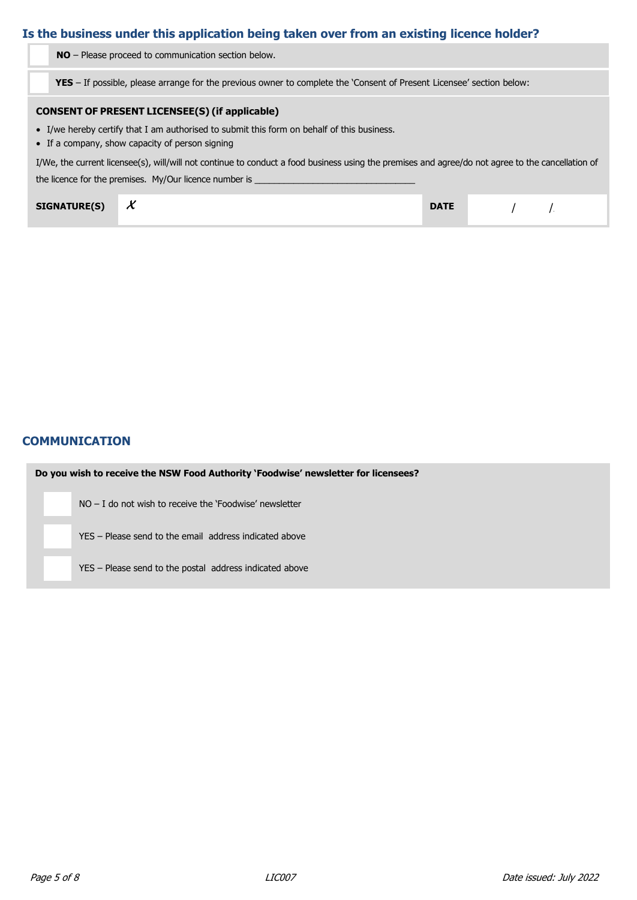# **Is the business under this application being taken over from an existing licence holder?**

**NO** – Please proceed to communication section below.

**YES** – If possible, please arrange for the previous owner to complete the 'Consent of Present Licensee' section below:

## **CONSENT OF PRESENT LICENSEE(S) (if applicable)**

- I/we hereby certify that I am authorised to submit this form on behalf of this business.
- If a company, show capacity of person signing

I/We, the current licensee(s), will/will not continue to conduct a food business using the premises and agree/do not agree to the cancellation of

the licence for the premises. My/Our licence number is

| <b>SIGNATURE(S)</b> | $\overline{ }$<br>$\lambda$ | <b>DATE</b> |  |
|---------------------|-----------------------------|-------------|--|
|---------------------|-----------------------------|-------------|--|

## **COMMUNICATION**

| Do you wish to receive the NSW Food Authority 'Foodwise' newsletter for licensees? |
|------------------------------------------------------------------------------------|
| $NO - I$ do not wish to receive the 'Foodwise' newsletter                          |
| YES – Please send to the email address indicated above                             |
| YES – Please send to the postal address indicated above                            |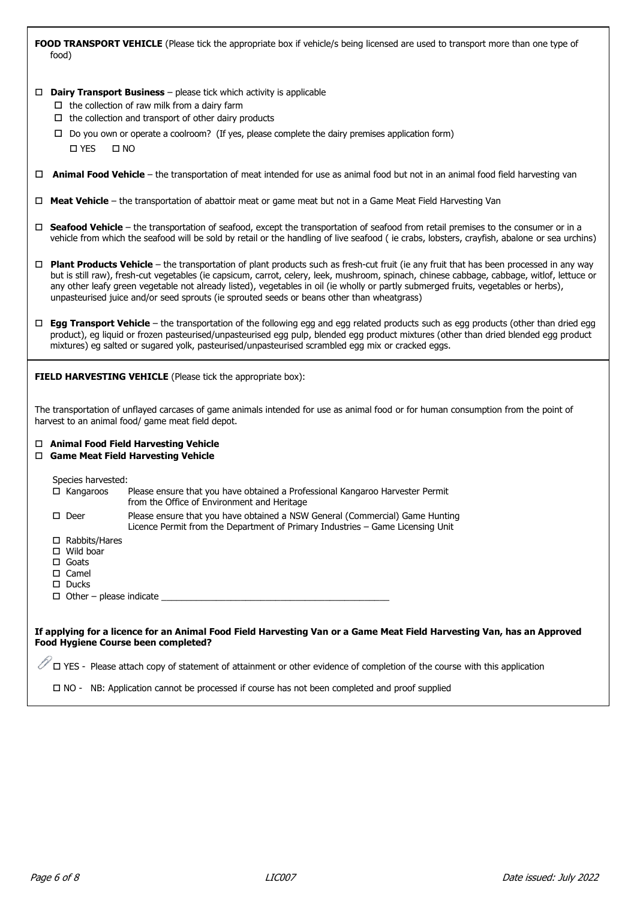**FOOD TRANSPORT VEHICLE** (Please tick the appropriate box if vehicle/s being licensed are used to transport more than one type of food)

- **Dairy Transport Business** please tick which activity is applicable
	- $\Box$  the collection of raw milk from a dairy farm
	- $\Box$  the collection and transport of other dairy products
	- $\Box$  Do you own or operate a coolroom? (If yes, please complete the dairy premises application form) YES NO
- **Animal Food Vehicle** the transportation of meat intended for use as animal food but not in an animal food field harvesting van
- **Meat Vehicle** the transportation of abattoir meat or game meat but not in a Game Meat Field Harvesting Van
- □ **Seafood Vehicle** the transportation of seafood, except the transportation of seafood from retail premises to the consumer or in a vehicle from which the seafood will be sold by retail or the handling of live seafood ( ie crabs, lobsters, crayfish, abalone or sea urchins)
- **Plant Products Vehicle** the transportation of plant products such as fresh-cut fruit (ie any fruit that has been processed in any way but is still raw), fresh-cut vegetables (ie capsicum, carrot, celery, leek, mushroom, spinach, chinese cabbage, cabbage, witlof, lettuce or any other leafy green vegetable not already listed), vegetables in oil (ie wholly or partly submerged fruits, vegetables or herbs), unpasteurised juice and/or seed sprouts (ie sprouted seeds or beans other than wheatgrass)
- **Egg Transport Vehicle** the transportation of the following egg and egg related products such as egg products (other than dried egg product), eg liquid or frozen pasteurised/unpasteurised egg pulp, blended egg product mixtures (other than dried blended egg product mixtures) eg salted or sugared yolk, pasteurised/unpasteurised scrambled egg mix or cracked eggs.

**FIELD HARVESTING VEHICLE** (Please tick the appropriate box):

The transportation of unflayed carcases of game animals intended for use as animal food or for human consumption from the point of harvest to an animal food/ game meat field depot.

|  |  |  |  |  | □ Animal Food Field Harvesting Vehicle |  |
|--|--|--|--|--|----------------------------------------|--|
|--|--|--|--|--|----------------------------------------|--|

**Game Meat Field Harvesting Vehicle**

Species harvested:

|   | $\Box$ Kangaroos                                                                                                                 | Please ensure that you have obtained a Professional Kangaroo Harvester Permit<br>from the Office of Environment and Heritage                                   |
|---|----------------------------------------------------------------------------------------------------------------------------------|----------------------------------------------------------------------------------------------------------------------------------------------------------------|
| п | Deer                                                                                                                             | Please ensure that you have obtained a NSW General (Commercial) Game Hunting<br>Licence Permit from the Department of Primary Industries - Game Licensing Unit |
|   | $\Box$ Rabbits/Hares<br>$\Box$ Wild boar<br>$\Box$ Goats<br>$\square$ Camel<br>$\square$ Ducks<br>$\Box$ Other – please indicate |                                                                                                                                                                |

**If applying for a licence for an Animal Food Field Harvesting Van or a Game Meat Field Harvesting Van, has an Approved Food Hygiene Course been completed?**

 $\mathbb V$   $\square$  YES - Please attach copy of statement of attainment or other evidence of completion of the course with this application

NO - NB: Application cannot be processed if course has not been completed and proof supplied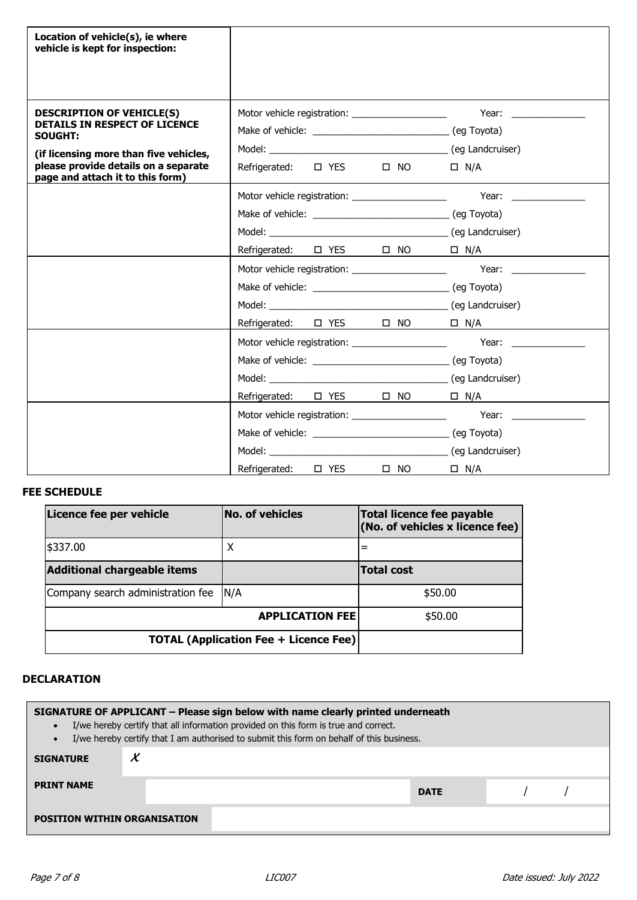| Location of vehicle(s), ie where<br>vehicle is kept for inspection:                                                                                                                                              |                                                                                                                                                                      |                                                                                                                                                                                                                                              |
|------------------------------------------------------------------------------------------------------------------------------------------------------------------------------------------------------------------|----------------------------------------------------------------------------------------------------------------------------------------------------------------------|----------------------------------------------------------------------------------------------------------------------------------------------------------------------------------------------------------------------------------------------|
| <b>DESCRIPTION OF VEHICLE(S)</b><br><b>DETAILS IN RESPECT OF LICENCE</b><br><b>SOUGHT:</b><br>(if licensing more than five vehicles,<br>please provide details on a separate<br>page and attach it to this form) | Motor vehicle registration: ______________________<br>Model: (eg Landcruiser)<br>Refrigerated: $\Box$ YES<br>$\Box$ NO                                               | Year: $\frac{1}{2}$<br>$\Box$ N/A.                                                                                                                                                                                                           |
|                                                                                                                                                                                                                  | Motor vehicle registration: _____________________<br>Refrigerated: $\Box$ YES $\Box$ NO                                                                              | Year: when the control of the control of the control of the control of the control of the control of the control of the control of the control of the control of the control of the control of the control of the control of t<br>$\Box$ N/A |
|                                                                                                                                                                                                                  | Motor vehicle registration: _______________________<br>Refrigerated: $\Box$ YES $\Box$ NO                                                                            | Year: $\qquad \qquad$<br>$\Box$ N/A                                                                                                                                                                                                          |
|                                                                                                                                                                                                                  | Motor vehicle registration: _____________________<br>Model: Note that the state of the state of the state of the state of the state of the state of the state of the | (eg Landcruiser)                                                                                                                                                                                                                             |
|                                                                                                                                                                                                                  | Model: with a series of the series of the series of the series of the series of the series of the series of the<br>$\Box$ NO<br>Refrigerated:<br><b>D</b> YES        | (eg Landcruiser)<br>$\Box$ N/A                                                                                                                                                                                                               |

# **FEE SCHEDULE**

| Licence fee per vehicle                      | <b>No. of vehicles</b>            | Total licence fee payable<br>(No. of vehicles x license fee) |  |  |
|----------------------------------------------|-----------------------------------|--------------------------------------------------------------|--|--|
| \$337.00                                     | X                                 | $=$                                                          |  |  |
| <b>Additional chargeable items</b>           | <b>Total cost</b>                 |                                                              |  |  |
| Company search administration fee  N/A       |                                   | \$50.00                                                      |  |  |
|                                              | <b>APPLICATION FEE</b><br>\$50.00 |                                                              |  |  |
| <b>TOTAL (Application Fee + Licence Fee)</b> |                                   |                                                              |  |  |

## **DECLARATION**

| SIGNATURE OF APPLICANT - Please sign below with name clearly printed underneath<br>I/we hereby certify that all information provided on this form is true and correct.<br>I/we hereby certify that I am authorised to submit this form on behalf of this business. |  |  |  |  |  |  |  |
|--------------------------------------------------------------------------------------------------------------------------------------------------------------------------------------------------------------------------------------------------------------------|--|--|--|--|--|--|--|
| Х<br><b>SIGNATURE</b>                                                                                                                                                                                                                                              |  |  |  |  |  |  |  |
| <b>PRINT NAME</b><br><b>DATE</b>                                                                                                                                                                                                                                   |  |  |  |  |  |  |  |
| <b>POSITION WITHIN ORGANISATION</b>                                                                                                                                                                                                                                |  |  |  |  |  |  |  |